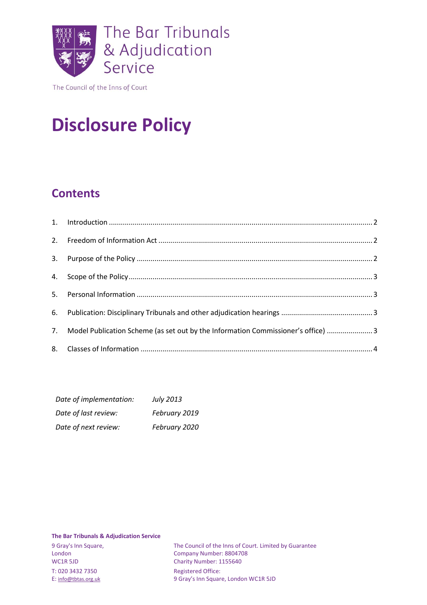

The Council of the Inns of Court

# **Disclosure Policy**

# **Contents**

| 7. Model Publication Scheme (as set out by the Information Commissioner's office)  3 |  |
|--------------------------------------------------------------------------------------|--|
|                                                                                      |  |

| Date of implementation: | <b>July 2013</b> |
|-------------------------|------------------|
| Date of last review:    | February 2019    |
| Date of next review:    | February 2020    |

**The Bar Tribunals & Adjudication Service**

T: 020 3432 7350 Registered Office:<br>
E: info@tbtas.org.uk 9 Gray's Inn Squar

9 Gray's Inn Square, The Council of the Inns of Court. Limited by Guarantee<br>
London<br>
Company Number: 8804708 London Company Number: 8804708<br>
WC1R 5JD Charity Number: 1155640 Charity Number: 1155640 9 Gray's Inn Square, London WC1R 5JD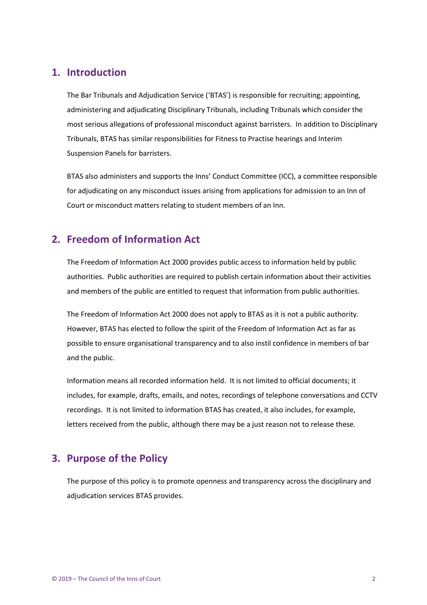### <span id="page-1-0"></span>**1. Introduction**

The Bar Tribunals and Adjudication Service ('BTAS') is responsible for recruiting; appointing, administering and adjudicating Disciplinary Tribunals, including Tribunals which consider the most serious allegations of professional misconduct against barristers. In addition to Disciplinary Tribunals, BTAS has similar responsibilities for Fitness to Practise hearings and Interim Suspension Panels for barristers.

BTAS also administers and supports the Inns' Conduct Committee (ICC), a committee responsible for adjudicating on any misconduct issues arising from applications for admission to an Inn of Court or misconduct matters relating to student members of an Inn.

# <span id="page-1-1"></span>**2. Freedom of Information Act**

The Freedom of Information Act 2000 provides public access to information held by public authorities. Public authorities are required to publish certain information about their activities and members of the public are entitled to request that information from public authorities.

The Freedom of Information Act 2000 does not apply to BTAS as it is not a public authority. However, BTAS has elected to follow the spirit of the Freedom of Information Act as far as possible to ensure organisational transparency and to also instil confidence in members of bar and the public.

Information means all recorded information held. It is not limited to official documents; it includes, for example, drafts, emails, and notes, recordings of telephone conversations and CCTV recordings. It is not limited to information BTAS has created, it also includes, for example, letters received from the public, although there may be a just reason not to release these.

### <span id="page-1-2"></span>**3. Purpose of the Policy**

The purpose of this policy is to promote openness and transparency across the disciplinary and adjudication services BTAS provides.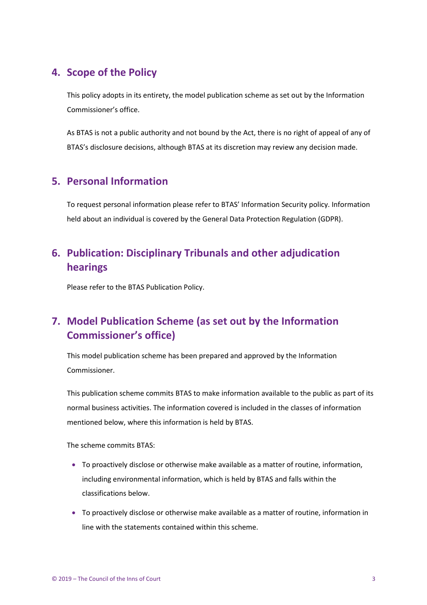### <span id="page-2-0"></span>**4. Scope of the Policy**

This policy adopts in its entirety, the model publication scheme as set out by the Information Commissioner's office.

As BTAS is not a public authority and not bound by the Act, there is no right of appeal of any of BTAS's disclosure decisions, although BTAS at its discretion may review any decision made.

# <span id="page-2-1"></span>**5. Personal Information**

To request personal information please refer to BTAS' Information Security policy. Information held about an individual is covered by the General Data Protection Regulation (GDPR).

# <span id="page-2-2"></span>**6. Publication: Disciplinary Tribunals and other adjudication hearings**

Please refer to the BTAS Publication Policy.

# <span id="page-2-3"></span>**7. Model Publication Scheme (as set out by the Information Commissioner's office)**

This model publication scheme has been prepared and approved by the Information Commissioner.

This publication scheme commits BTAS to make information available to the public as part of its normal business activities. The information covered is included in the classes of information mentioned below, where this information is held by BTAS.

The scheme commits BTAS:

- To proactively disclose or otherwise make available as a matter of routine, information, including environmental information, which is held by BTAS and falls within the classifications below.
- To proactively disclose or otherwise make available as a matter of routine, information in line with the statements contained within this scheme.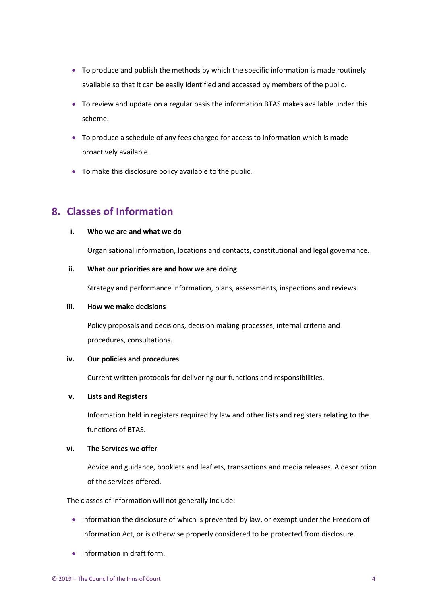- To produce and publish the methods by which the specific information is made routinely available so that it can be easily identified and accessed by members of the public.
- To review and update on a regular basis the information BTAS makes available under this scheme.
- To produce a schedule of any fees charged for access to information which is made proactively available.
- To make this disclosure policy available to the public.

# <span id="page-3-0"></span>**8. Classes of Information**

#### **i. Who we are and what we do**

Organisational information, locations and contacts, constitutional and legal governance.

#### **ii. What our priorities are and how we are doing**

Strategy and performance information, plans, assessments, inspections and reviews.

#### **iii. How we make decisions**

Policy proposals and decisions, decision making processes, internal criteria and procedures, consultations.

#### **iv. Our policies and procedures**

Current written protocols for delivering our functions and responsibilities.

#### **v. Lists and Registers**

Information held in registers required by law and other lists and registers relating to the functions of BTAS.

#### **vi. The Services we offer**

Advice and guidance, booklets and leaflets, transactions and media releases. A description of the services offered.

The classes of information will not generally include:

- Information the disclosure of which is prevented by law, or exempt under the Freedom of Information Act, or is otherwise properly considered to be protected from disclosure.
- Information in draft form.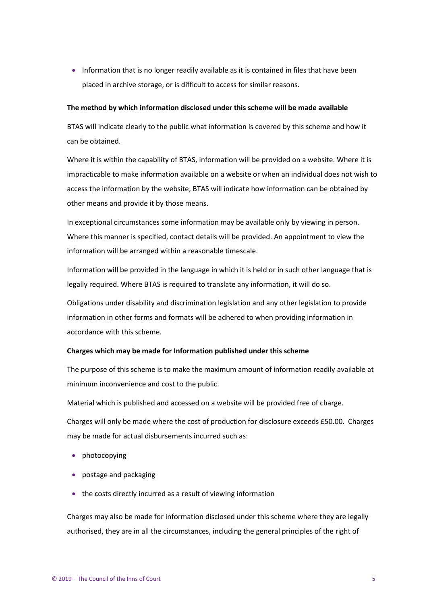• Information that is no longer readily available as it is contained in files that have been placed in archive storage, or is difficult to access for similar reasons.

#### **The method by which information disclosed under this scheme will be made available**

BTAS will indicate clearly to the public what information is covered by this scheme and how it can be obtained.

Where it is within the capability of BTAS, information will be provided on a website. Where it is impracticable to make information available on a website or when an individual does not wish to access the information by the website, BTAS will indicate how information can be obtained by other means and provide it by those means.

In exceptional circumstances some information may be available only by viewing in person. Where this manner is specified, contact details will be provided. An appointment to view the information will be arranged within a reasonable timescale.

Information will be provided in the language in which it is held or in such other language that is legally required. Where BTAS is required to translate any information, it will do so.

Obligations under disability and discrimination legislation and any other legislation to provide information in other forms and formats will be adhered to when providing information in accordance with this scheme.

#### **Charges which may be made for Information published under this scheme**

The purpose of this scheme is to make the maximum amount of information readily available at minimum inconvenience and cost to the public.

Material which is published and accessed on a website will be provided free of charge.

Charges will only be made where the cost of production for disclosure exceeds £50.00. Charges may be made for actual disbursements incurred such as:

- photocopying
- postage and packaging
- the costs directly incurred as a result of viewing information

Charges may also be made for information disclosed under this scheme where they are legally authorised, they are in all the circumstances, including the general principles of the right of